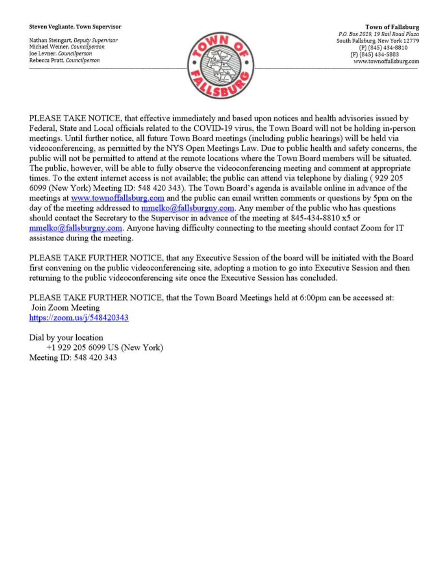#### Steven Vegliante, Town Supervisor

Nathan Steingart, Deputy Supervisor Michael Weiner, Councilperson Joe Levner, Councilperson Rebecca Pratt, Councilperson



**Town of Fallsburg** P.O. Box 2019, 19 Rail Road Plaza South Fallsburg, New York 12779 (P) (845) 434-8810 (F) (845) 434-5883 www.townoffallsburg.com

PLEASE TAKE NOTICE, that effective immediately and based upon notices and health advisories issued by Federal, State and Local officials related to the COVID-19 virus, the Town Board will not be holding in-person meetings. Until further notice, all future Town Board meetings (including public hearings) will be held via videoconferencing, as permitted by the NYS Open Meetings Law. Due to public health and safety concerns, the public will not be permitted to attend at the remote locations where the Town Board members will be situated. The public, however, will be able to fully observe the videoconferencing meeting and comment at appropriate times. To the extent internet access is not available; the public can attend via telephone by dialing (929 205 6099 (New York) Meeting ID: 548 420 343). The Town Board's agenda is available online in advance of the meetings at www.townoffallsburg.com and the public can email written comments or questions by 5pm on the day of the meeting addressed to mmelko@fallsburgny.com. Any member of the public who has questions should contact the Secretary to the Supervisor in advance of the meeting at 845-434-8810 x5 or  $mmelko@fallsburgny.com$ . Anyone having difficulty connecting to the meeting should contact Zoom for IT assistance during the meeting.

PLEASE TAKE FURTHER NOTICE, that any Executive Session of the board will be initiated with the Board first convening on the public videoconferencing site, adopting a motion to go into Executive Session and then returning to the public videoconferencing site once the Executive Session has concluded.

PLEASE TAKE FURTHER NOTICE, that the Town Board Meetings held at 6:00pm can be accessed at: Join Zoom Meeting https://zoom.us/ $j/548420343$ 

Dial by your location +1 929 205 6099 US (New York) Meeting ID: 548 420 343